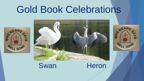## Gold Book Celebrations







### Swan Heron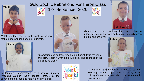

Malek started Year 4 with such a positive attitude and working hard in all subjects.



#### Gold Book Celebrations For Heron Class

18th September 2020



An amazing self-portrait. Aiden looked carefully in the mirror and drew exactly what he could see. The likeness of his sketch is fantastic.







Michael has been working hard and showing independence in his work by listening carefully when instructions are given.



A fantastic interpretation of Picasso's painting 'Weeping Woman'. Daisy looked carefully at the shapes and outlines and made a brilliant sketch.